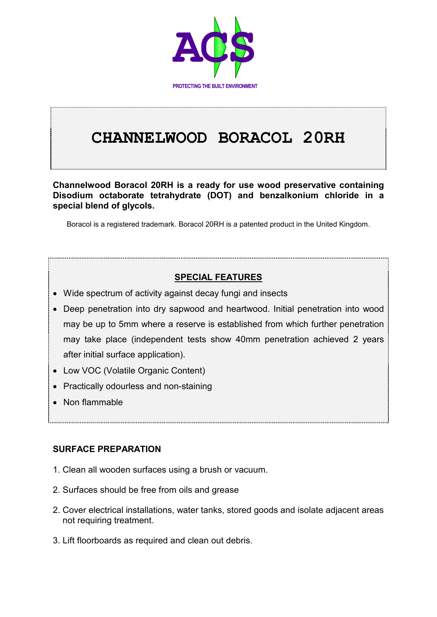

# **CHANNELWOOD BORACOL 20RH**

**Channelwood Boracol 20RH is a ready for use wood preservative containing Disodium octaborate tetrahydrate (DOT) and benzalkonium chloride in a special blend of glycols.**

Boracol is a registered trademark. Boracol 20RH is a patented product in the United Kingdom.

## **SPECIAL FEATURES**

- Wide spectrum of activity against decay fungi and insects
- Deep penetration into dry sapwood and heartwood. Initial penetration into wood may be up to 5mm where a reserve is established from which further penetration may take place (independent tests show 40mm penetration achieved 2 years after initial surface application).
- Low VOC (Volatile Organic Content)
- Practically odourless and non-staining
- Non flammable

## **SURFACE PREPARATION**

- 1. Clean all wooden surfaces using a brush or vacuum.
- 2. Surfaces should be free from oils and grease
- 2. Cover electrical installations, water tanks, stored goods and isolate adjacent areas not requiring treatment.
- 3. Lift floorboards as required and clean out debris.